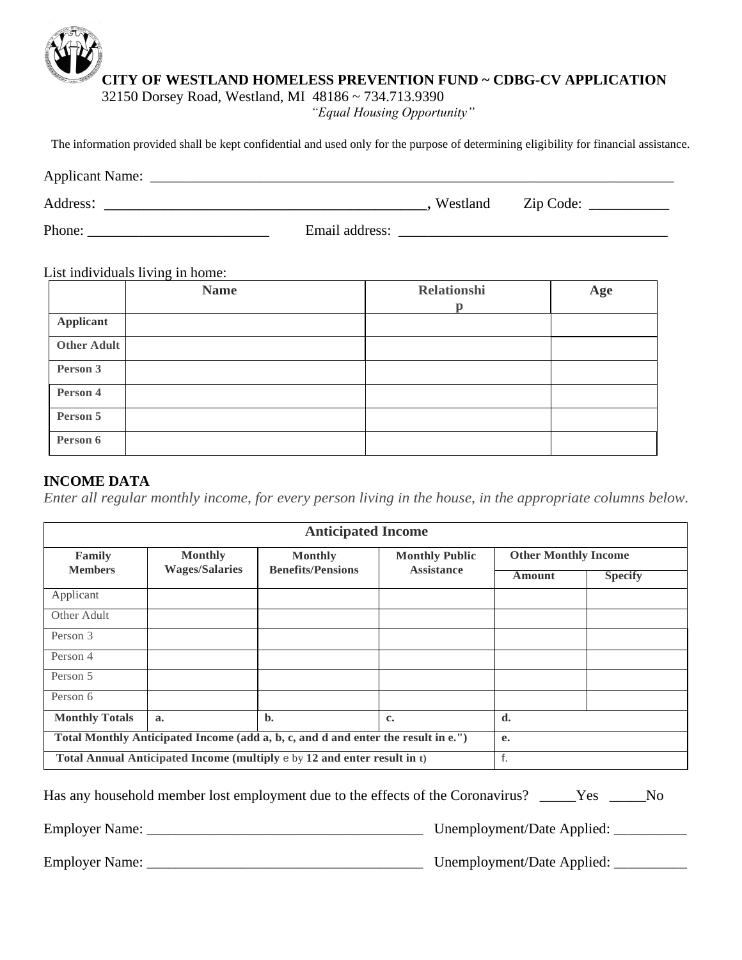# **CITY OF WESTLAND HOMELESS PREVENTION FUND ~ CDBG-CV APPLICATION**

32150 Dorsey Road, Westland, MI 48186 ~ 734.713.9390

*"Equal Housing Opportunity"*

The information provided shall be kept confidential and used only for the purpose of determining eligibility for financial assistance.

| <b>Applicant Name:</b> |                |          |           |  |
|------------------------|----------------|----------|-----------|--|
| Address:               |                | Westland | Zip Code: |  |
| Phone:                 | Email address: |          |           |  |

List individuals living in home:

|                    | <b>Name</b> | <b>Relationshi</b> | Age |
|--------------------|-------------|--------------------|-----|
|                    |             | D                  |     |
| Applicant          |             |                    |     |
| <b>Other Adult</b> |             |                    |     |
| Person 3           |             |                    |     |
| Person 4           |             |                    |     |
| Person 5           |             |                    |     |
| Person 6           |             |                    |     |

# **INCOME DATA**

*Enter all regular monthly income, for every person living in the house, in the appropriate columns below.*

| <b>Anticipated Income</b>                                                         |                       |                                                                          |                       |                             |                |  |
|-----------------------------------------------------------------------------------|-----------------------|--------------------------------------------------------------------------|-----------------------|-----------------------------|----------------|--|
| Family                                                                            | <b>Monthly</b>        | <b>Monthly</b>                                                           | <b>Monthly Public</b> | <b>Other Monthly Income</b> |                |  |
| <b>Members</b>                                                                    | <b>Wages/Salaries</b> | <b>Benefits/Pensions</b>                                                 | <b>Assistance</b>     | Amount                      | <b>Specify</b> |  |
| Applicant                                                                         |                       |                                                                          |                       |                             |                |  |
| Other Adult                                                                       |                       |                                                                          |                       |                             |                |  |
| Person 3                                                                          |                       |                                                                          |                       |                             |                |  |
| Person 4                                                                          |                       |                                                                          |                       |                             |                |  |
| Person 5                                                                          |                       |                                                                          |                       |                             |                |  |
| Person 6                                                                          |                       |                                                                          |                       |                             |                |  |
| <b>Monthly Totals</b>                                                             | a.                    | $\mathbf{b}$ .                                                           | c.                    | d.                          |                |  |
| Total Monthly Anticipated Income (add a, b, c, and d and enter the result in e.") |                       |                                                                          | e.                    |                             |                |  |
|                                                                                   |                       | Total Annual Anticipated Income (multiply e by 12 and enter result in t) |                       | f.                          |                |  |

| Has any household member lost employment due to the effects of the Coronavirus? _____Yes _____No |  |
|--------------------------------------------------------------------------------------------------|--|
|                                                                                                  |  |

Employer Name: \_\_\_\_\_\_\_\_\_\_\_\_\_\_\_\_\_\_\_\_\_\_\_\_\_\_\_\_\_\_\_\_\_\_\_\_\_\_ Unemployment/Date Applied: \_\_\_\_\_\_\_\_\_\_

Employer Name: \_\_\_\_\_\_\_\_\_\_\_\_\_\_\_\_\_\_\_\_\_\_\_\_\_\_\_\_\_\_\_\_\_\_\_\_\_\_ Unemployment/Date Applied: \_\_\_\_\_\_\_\_\_\_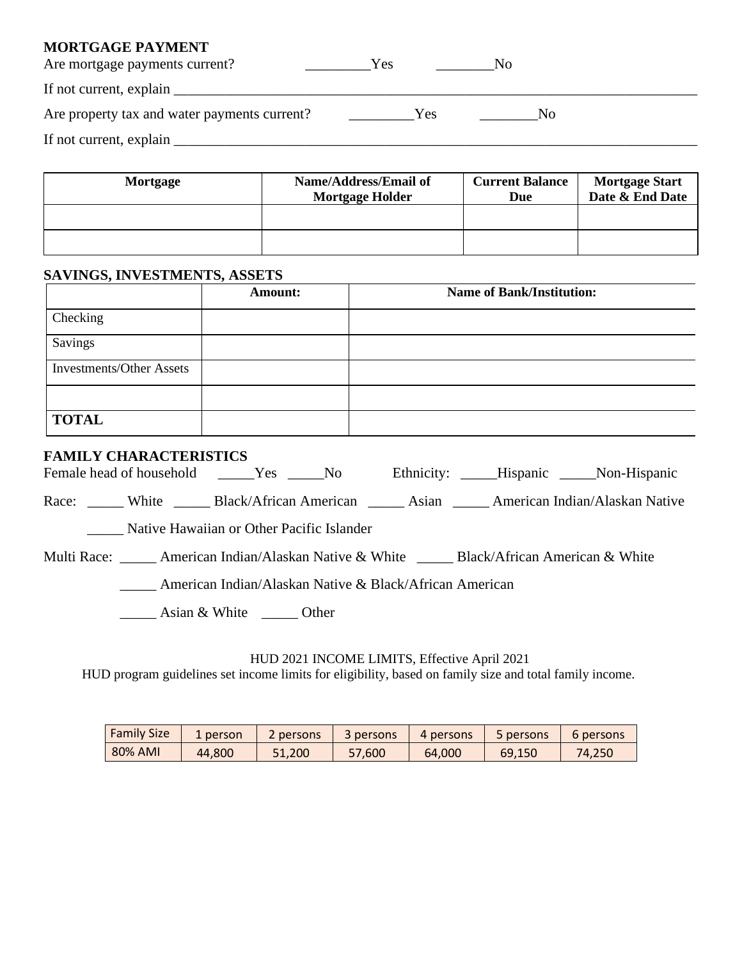## **MORTGAGE PAYMENT**

| Are mortgage payments current?                                                                                                                                                                                                 | Yes |     | IΝO |  |
|--------------------------------------------------------------------------------------------------------------------------------------------------------------------------------------------------------------------------------|-----|-----|-----|--|
| If not current, explain Learning and the same state of the same state of the same state of the same state of the same state of the same state of the same state of the same state of the same state of the same state of the s |     |     |     |  |
| Are property tax and water payments current?                                                                                                                                                                                   |     | Yes | Nο  |  |
| If not current, explain                                                                                                                                                                                                        |     |     |     |  |

| Mortgage | Name/Address/Email of<br><b>Mortgage Holder</b> | <b>Current Balance</b><br>Due | <b>Mortgage Start</b><br>Date & End Date |
|----------|-------------------------------------------------|-------------------------------|------------------------------------------|
|          |                                                 |                               |                                          |
|          |                                                 |                               |                                          |

# **SAVINGS, INVESTMENTS, ASSETS**

|                                 | <b>Amount:</b> | <b>Name of Bank/Institution:</b> |
|---------------------------------|----------------|----------------------------------|
| Checking                        |                |                                  |
| Savings                         |                |                                  |
| <b>Investments/Other Assets</b> |                |                                  |
|                                 |                |                                  |
| <b>TOTAL</b>                    |                |                                  |

## **FAMILY CHARACTERISTICS**

| Female head of household |       | <b>Solution</b> Yes                       | No. | Ethnicity: Hispanic Non-Hispanic |                                |
|--------------------------|-------|-------------------------------------------|-----|----------------------------------|--------------------------------|
| Race:                    | White | Black/African American                    |     | Asian                            | American Indian/Alaskan Native |
|                          |       | Native Hawaiian or Other Pacific Islander |     |                                  |                                |

Multi Race: \_\_\_\_\_ American Indian/Alaskan Native & White \_\_\_\_\_ Black/African American & White

\_\_\_\_\_ American Indian/Alaskan Native & Black/African American

\_\_\_\_\_ Asian & White \_\_\_\_\_ Other

### HUD 2021 INCOME LIMITS, Effective April 2021

HUD program guidelines set income limits for eligibility, based on family size and total family income.

| <b>Family Size</b> | 1 person | 2 persons | 3 persons | 4 persons | <b>b</b> persons | b persons |
|--------------------|----------|-----------|-----------|-----------|------------------|-----------|
| 80% AMI            | 44.800   | 51.200    | 57.600    | 64.000    | 69.150           | 74.250    |